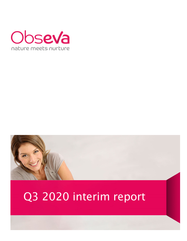



# Q3 2020 interim report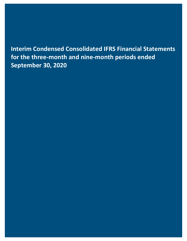**Interim Condensed Consolidated IFRS Financial Statements for the three‐month and nine‐month periods ended September 30, 2020**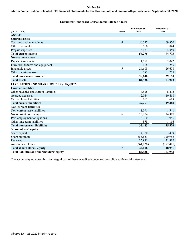# Interim Condensed Consolidated IFRS Financial Statements for the three-month and nine-month periods ended September 30, 2020

# **Unaudited Condensed Consolidated Balance Sheets**

| $(in$ USD '000)                             | <b>Notes</b>   | September 30,<br>2020 | December 31,<br>2019 |
|---------------------------------------------|----------------|-----------------------|----------------------|
| <b>ASSETS</b>                               |                |                       |                      |
| <b>Current assets</b>                       |                |                       |                      |
| Cash and cash equivalents                   | $\overline{4}$ | 50,597                | 69,370               |
| Other receivables                           |                | 516                   | 1,044                |
| Prepaid expenses                            |                | 5,183                 | 4,359                |
| <b>Total current assets</b>                 |                | 56,296                | 74,773               |
| <b>Non-current assets</b>                   |                |                       |                      |
| Right-of-use assets                         |                | 1,579                 | 2,042                |
| Furniture, fixtures and equipment           |                | 168                   | 245                  |
| Intangible assets                           | 5              | 26,608                | 26,608               |
| Other long-term assets                      |                | 285                   | 275                  |
| <b>Total non-current assets</b>             |                | 28,640                | 29,170               |
| <b>Total assets</b>                         |                | 84,936                | 103,943              |
| <b>LIABILITIES AND SHAREHOLDERS' EQUITY</b> |                |                       |                      |
| <b>Current liabilities</b>                  |                |                       |                      |
| Other payables and current liabilities      |                | 14,538                | 8,432                |
| Accrued expenses                            |                | 12,064                | 10,418               |
| Current lease liabilities                   |                | 665                   | 618                  |
| <b>Total current liabilities</b>            |                | 27,267                | 19,468               |
| <b>Non-current liabilities</b>              |                |                       |                      |
| Non-current lease liabilities               |                | 1,091                 | 1,541                |
| Non-current borrowings                      | 6              | 25,204                | 24,917               |
| Post-employment obligations                 |                | 8,310                 | 7,946                |
| Other long-term liabilities                 |                | 878                   | 1,116                |
| <b>Total non-current liabilities</b>        |                | 35,483                | 35,520               |
| Shareholders' equity                        |                |                       |                      |
| Share capital                               |                | 4,370                 | 3,499                |
| Share premium                               |                | 353,651               | 320,955              |
| Reserves                                    |                | 25,991                | 21,912               |
| <b>Accumulated losses</b>                   |                | (361, 826)            | (297, 411)           |
| <b>Total shareholders' equity</b>           | $\overline{7}$ | 22,186                | 48,955               |
| Total liabilities and shareholders' equity  |                | 84,936                | 103,943              |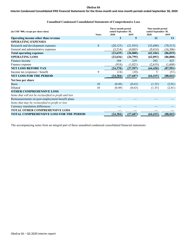# Interim Condensed Consolidated IFRS Financial Statements for the three-month and nine-month periods ended September 30, 2020

| (in USD '000, except per share data)                   |              | Three-month period<br>ended September 30, |           | Nine-month period<br>ended September 30, |           |  |
|--------------------------------------------------------|--------------|-------------------------------------------|-----------|------------------------------------------|-----------|--|
|                                                        | <b>Notes</b> | 2020                                      | 2019      | 2020                                     | 2019      |  |
| Operating income other than revenue                    |              | 3                                         | 5         | 11                                       | 11        |  |
| <b>OPERATING EXPENSES</b>                              |              |                                           |           |                                          |           |  |
| Research and development expenses                      | 8            | (20, 125)                                 | (21, 935) | (52,690)                                 | (70, 513) |  |
| General and administrative expenses                    |              | (3,514)                                   | (4,865)   | (9, 414)                                 | (16,306)  |  |
| <b>Total operating expenses</b>                        |              | (23, 639)                                 | (26,800)  | (62, 104)                                | (86, 819) |  |
| <b>OPERATING LOSS</b>                                  |              | (23, 636)                                 | (26,795)  | (62,093)                                 | (86, 808) |  |
| Finance income                                         |              | 184                                       | 219       | 292                                      | 425       |  |
| Finance expense                                        |              | (918)                                     | (1,021)   | (2,619)                                  | (1,608)   |  |
| <b>NET LOSS BEFORE TAX</b>                             |              | (24, 370)                                 | (27,597)  | (64, 420)                                | (87,991)  |  |
| Income tax (expense) / benefit                         | 9            | (14)                                      | (10)      | 5                                        | (51)      |  |
| <b>NET LOSS FOR THE PERIOD</b>                         |              | (24, 384)                                 | (27,607)  | (64, 415)                                | (88, 042) |  |
| Net loss per share                                     |              |                                           |           |                                          |           |  |
| <b>Basic</b>                                           | 10           | (0.49)                                    | (0.63)    | (1.35)                                   | (2.01)    |  |
| Diluted                                                | 10           | (0.49)                                    | (0.63)    | (1.35)                                   | (2.01)    |  |
| <b>OTHER COMPREHENSIVE LOSS</b>                        |              |                                           |           |                                          |           |  |
| Items that will not be reclassified to profit and loss |              |                                           |           |                                          |           |  |
| Remeasurements on post-employment benefit plans        |              |                                           |           |                                          |           |  |
| Items that may be reclassified to profit or loss       |              |                                           |           |                                          |           |  |
| Currency translation differences                       |              |                                           |           |                                          |           |  |
| <b>TOTAL OTHER COMPREHENSIVE LOSS</b>                  |              |                                           |           |                                          |           |  |
| <b>TOTAL COMPREHENSIVE LOSS FOR THE PERIOD</b>         |              | (24, 384)                                 | (27,607)  | (64, 415)                                | (88, 042) |  |

# **Unaudited Condensed Consolidated Statements of Comprehensive Loss**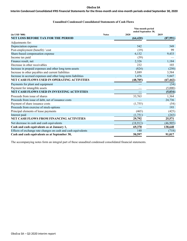# Interim Condensed Consolidated IFRS Financial Statements for the three-month and nine-month periods ended September 30, 2020

# **Unaudited Condensed Consolidated Statements of Cash Flows**

|                                                               |              | Nine-month period<br>ended September 30, |           |
|---------------------------------------------------------------|--------------|------------------------------------------|-----------|
| $(in$ USD $'000)$                                             | <b>Notes</b> | 2020                                     | 2019      |
| <b>NET LOSS BEFORE TAX FOR THE PERIOD</b>                     |              | (64, 420)                                | (87,991)  |
| Adjustments for:                                              |              |                                          |           |
| Depreciation expense                                          |              | 542                                      | 549       |
| Post-employment (benefit) / cost                              |              | (19)                                     | 99        |
| Share-based compensation expense                              |              | 6,132                                    | 9,433     |
| Income tax paid                                               |              | (39)                                     |           |
| Finance result, net                                           |              | 2,326                                    | 1,184     |
| Decrease in other receivables                                 |              | 232                                      | 103       |
| Increase in prepaid expenses and other long term-assets       |              | (824)                                    | (250)     |
| Increase in other payables and current liabilities            |              | 5,889                                    | 3,584     |
| Increase in accrued expenses and other long-term liabilities  |              | 1,476                                    | 5,847     |
| NET CASH FLOWS USED IN OPERATING ACTIVITIES                   |              | (48, 705)                                | (67, 442) |
| Payments for plant and equipment                              |              |                                          | (34)      |
| Payment for intangible assets                                 |              |                                          | (5,000)   |
| NET CASH FLOWS USED IN INVESTING ACTIVITIES                   |              |                                          | (5,034)   |
| Proceeds from issue of shares                                 |              | 33,763                                   | 1,364     |
| Proceeds from issue of debt, net of issuance costs            |              |                                          | 24,736    |
| Payment of share issuance costs                               |              | (1,755)                                  | (54)      |
| Proceeds from exercise of stock-options                       |              |                                          | 193       |
| Principal elements of lease payments                          |              | (465)                                    | (425)     |
| Interest paid                                                 |              | (1,751)                                  | (243)     |
| <b>NET CASH FLOWS FROM FINANCING ACTIVITIES</b>               |              | 29,792                                   | 25,571    |
| Net decrease in cash and cash equivalents                     |              | (18,913)                                 | (46,905)  |
| Cash and cash equivalents as at January 1,                    |              | 69,370                                   | 138,640   |
| Effects of exchange rate changes on cash and cash equivalents |              | 140                                      | (718)     |
| Cash and cash equivalents as at September 30,                 |              | 50,597                                   | 91,017    |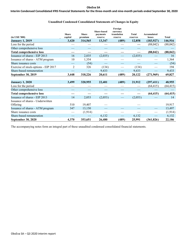# Interim Condensed Consolidated IFRS Financial Statements for the three-month and nine-month periods ended September 30, 2020

# **Unaudited Condensed Consolidated Statements of Changes in Equity**

| $(in$ USD $'000)$                    | <b>Share</b><br>capital | <b>Share</b><br>premium | <b>Share-based</b><br>payments<br>reserve | Foreign<br>currency<br>translation<br>reserve | <b>Total</b><br>reserves | <b>Accumulated</b><br>losses | <b>Total</b> |
|--------------------------------------|-------------------------|-------------------------|-------------------------------------------|-----------------------------------------------|--------------------------|------------------------------|--------------|
| <b>January 1, 2019</b>               | 3,420                   | 314,565                 | 13,347                                    | (489)                                         | 12,858                   | (183, 927)                   | 146,916      |
| Loss for the period                  |                         |                         |                                           |                                               |                          | (88,042)                     | (88, 042)    |
| Other comprehensive loss             |                         |                         |                                           |                                               |                          |                              |              |
| <b>Total comprehensive loss</b>      |                         |                         |                                           |                                               |                          | (88, 042)                    | (88, 042)    |
| Issuance of shares - EIP 2013        | 16                      | 2,035                   | (2,035)                                   |                                               | (2,035)                  |                              | 16           |
| Issuance of shares - ATM program     | 10                      | 1,354                   |                                           |                                               |                          |                              | 1,364        |
| Share issuance costs                 |                         | (54)                    |                                           |                                               |                          |                              | (54)         |
| Exercise of stock-options - EIP 2017 | 2                       | 326                     | (134)                                     |                                               | (134)                    |                              | 194          |
| Share-based remuneration             |                         |                         | 9,433                                     |                                               | 9,433                    |                              | 9,433        |
| September 30, 2019                   | 3,448                   | 318,226                 | 20,611                                    | (489)                                         | 20,122                   | (271,969)                    | 69,827       |
| <b>January 1, 2020</b>               | 3,499                   | 320,955                 | 22,401                                    | (489)                                         | 21,912                   | (297, 411)                   | 48,955       |
| Loss for the period                  |                         |                         |                                           |                                               |                          | (64, 415)                    | (64, 415)    |
| Other comprehensive loss             |                         |                         |                                           |                                               |                          |                              |              |
| <b>Total comprehensive loss</b>      |                         |                         |                                           |                                               |                          | (64, 415)                    | (64, 415)    |
| Issuance of shares - EIP 2013        | 14                      | 2,053                   | (2,053)                                   |                                               | (2,053)                  |                              | 14           |
| Issuance of shares - Underwritten    |                         |                         |                                           |                                               |                          |                              |              |
| Offering                             | 510                     | 19,407                  |                                           |                                               |                          |                              | 19,917       |
| Issuance of shares - ATM program     | 347                     | 13,150                  |                                           |                                               |                          |                              | 13,497       |
| Share issuance costs                 |                         | (1, 914)                |                                           |                                               |                          |                              | (1,914)      |
| Share-based remuneration             |                         |                         | 6,132                                     |                                               | 6,132                    |                              | 6,132        |
| <b>September 30, 2020</b>            | 4,370                   | 353,651                 | 26,480                                    | (489)                                         | 25,991                   | (361, 826)                   | 22,186       |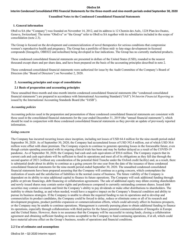#### Interim Condensed Consolidated IFRS Financial Statements for the three-month and nine-month periods ended September 30, 2020

#### **Unaudited Notes to the Condensed Consolidated Financial Statements**

#### **1. General information**

ObsEva SA (the "Company") was founded on November 14, 2012, and its address is 12 Chemin des Aulx, 1228 Plan-les-Ouates, Geneva, Switzerland. The terms "ObsEva" or "the Group" refer to ObsEva SA together with its subsidiaries included in the scope of consolidation (note 2.3).

The Group is focused on the development and commercialization of novel therapeutics for serious conditions that compromise women's reproductive health and pregnancy. The Group has a portfolio of three mid- to late-stage development in-licensed compounds (linzagolix, OBE022 and nolasiban) being developed in four indications. The Group has no currently marketed products.

These condensed consolidated financial statements are presented in dollars of the United States (USD), rounded to the nearest thousand except share and per share data, and have been prepared on the basis of the accounting principles described in note 2.

These condensed consolidated financial statements were authorized for issue by the Audit Committee of the Company's Board of Directors (the "Board of Directors") on November 2, 2020.

#### **2. Accounting principles and scope of consolidation**

#### **2.1 Basis of preparation and accounting principles**

These unaudited three-month and nine-month interim condensed consolidated financial statements (the "condensed consolidated financial statements") are prepared in accordance with International Accounting Standard ("IAS") 34 *Interim Financial Reporting* as issued by the International Accounting Standards Board (the "IASB").

#### *Accounting policies*

Accounting policies used in the preparation and presentation of these condensed consolidated financial statements are consistent with those used in the consolidated financial statements for the year ended December 31, 2019 (the "annual financial statements"), which should be read in conjunction with these condensed consolidated financial statements as they provide an update of previously reported information.

#### *Going concern*

The Company has incurred recurring losses since inception, including net losses of USD 64.4 million for the nine-month period ended September 30, 2020. As of September 30, 2020, the Company had accumulated losses of USD 392.4 million, out of which USD 30.6 million were offset with share premium. The Company expects to continue to generate operating losses in the foreseeable future, even though certain spending associated with its ongoing clinical trials has been and may be further delayed as a result of the COVID-19 pandemic. As of September 30, 2020, the Company had cash and cash equivalents of \$50.6 million. The Company expects that its current cash and cash equivalents will be sufficient to fund its operations and meet all of its obligations as they fall due through the second quarter of 2021 (without any consideration of the potential third Tranche under the Oxford credit facility) and, as a result, there is substantial doubt about its ability to continue as a going concern for one year from the date of the issuance of these condensed consolidated financial statements for the nine-month period ended September 30, 2020. The unaudited condensed consolidated financial statements have been prepared assuming that the Company will continue as a going concern, which contemplates the realization of assets and the satisfaction of liabilities in the normal course of business. The future viability of the Company is dependent on its ability to raise additional capital to finance its future operations. The Company will seek additional funding through public or private financings, debt financing or collaboration agreements. The sale of additional equity may dilute existing shareholders and newly issued shares may contain senior rights and preferences compared to currently outstanding common shares. Issued debt securities may contain covenants and limit the Company's ability to pay dividends or make other distributions to shareholders. The inability to obtain funding, as and when needed, would have a negative impact on the Company's financial condition and ability to pursue its business strategies. If the Company is unable to obtain the required funding to run its operations and to develop and commercialize its product candidates, the Company could be forced to delay, reduce or eliminate some or all of its research and development programs, product portfolio expansion or commercialization efforts, which could adversely affect its business prospects, or the Company may be unable to continue operations. Management is currently pursuing plans to obtain additional funding to finance its operations, especially through collaborations with third parties for the future potential commercialization of linzagolix in Europe and the United States. However, there is no assurance that the Company will be successful in raising funds, closing a collaboration agreement and obtaining sufficient funding on terms acceptable to the Company to fund continuing operations, if at all, which could have material adverse effect on the Group's business, results of operations and financial conditions.

#### **2.2 Use of estimates and assumptions**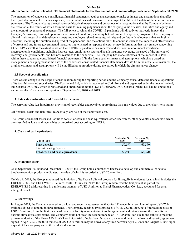#### Interim Condensed Consolidated IFRS Financial Statements for the three-month and nine-month periods ended September 30, 2020

The preparation of condensed consolidated financial statements requires management to make estimates and assumptions that affect the reported amounts of revenues, expenses, assets, liabilities and disclosure of contingent liabilities at the date of the interim financial statements. The Company bases the estimates on historical experience and on various other assumptions that the Company believes are reasonable, the results of which form the basis for making judgments about the carrying value of assets, liabilities and equity and the amount of revenues and expenses. The full extent to which the COVID-19 pandemic will directly or indirectly impact the Company's business, results of operations and financial condition, including but not limited to expenses, progress of the Company's clinical trials, research and development costs and employee related amounts, will depend on future developments that are highly uncertain, including the duration and spread of the pandemic, and the actions taken to contain it, such as the impact and effectiveness of current and any future governmental measures implemented in response thereto, or new information that may emerge concerning COVID-19, as well as the extent to which the COVID-19 pandemic has impacted and will continue to impact worldwide macroeconomic conditions, including interest rates, employment rates and health insurance coverage, the speed of the anticipated recovery, and governmental and business reactions to the pandemic. The Company has made estimates of the impact of COVID-19 within these condensed consolidated financial statements. If in the future such estimates and assumptions, which are based on management's best judgment at the date of the condensed consolidated financial statements, deviate from the actual circumstances, the original estimates and assumptions will be modified as appropriate during the period in which the circumstances change.

#### **2.3 Scope of consolidation**

There was no change to the scope of consolidation during the reporting period and the Company consolidates the financial operations of its two fully-owned subsidiaries, ObsEva Ireland Ltd, which is registered in Cork, Ireland and organized under the laws of Ireland, and ObsEva USA Inc., which is registered and organized under the laws of Delaware, USA. ObsEva Ireland Ltd had no operations and no results of operations to report as of September 30, 2020 and 2019.

#### **3. Fair value estimation and financial instruments**

The carrying value less impairment provision of receivables and payables approximate their fair values due to their short-term nature.

All financial assets and liabilities, respectively, are held at their amortized cost.

The Group's financial assets and liabilities consist of cash and cash equivalents, other receivables, other payables and accruals which are classified as loans and receivables at amortized cost according to IFRS 9.

#### **4. Cash and cash equivalents**

| $(in$ USD '000)                 | September 30,<br>2020 | December 31,<br>2019<br><b>STATISTICS</b> |
|---------------------------------|-----------------------|-------------------------------------------|
| Bank deposits                   | 50.597                | 69,370                                    |
| Interest bearing deposits       |                       | <b>STATISTICS</b>                         |
| Total cash and cash equivalents | 50,597                | 69.370                                    |

#### **5. Intangible assets**

As at September 30, 2020 and December 31, 2019, the Group holds a number of licenses to develop and commercialize several biopharmaceutical product candidates, the value of which is recorded at USD 26.6 million.

On May 9, 2019, the Group announced the initiation of its Phase 3 clinical program for linzagolix in endometriosis, which includes the EDELWEISS 2 and EDELWEISS 3 clinical trials. On July 19, 2019, the Group randomized the first patient as part of the EDELWEISS 2 trial, resulting in a milestone payment of USD 5 million to Kissei Pharmaceutical Co., Ltd., accounted for as an intangible asset.

#### **6. Borrowings**

In August 2019, the Company entered into a loan and security agreement with Oxford Finance for a term loan of up to USD 75.0 million, subject to funding in three tranches. The Company received gross proceeds of USD 25.0 million, net of transaction costs of USD 0.3 million, from the first tranche of the credit facility upon entering into the agreement and intends to use the funds for its various clinical trials programs. The Company could not draw the second tranche of USD 25.0 million due to the failure to meet the primary endpoint of the Phase 3 IMPLANT 4 clinical trial of nolasiban. Pursuant to an amendment to the loan and security agreement signed in April 2020, the third tranche of USD 25.0 million may be drawn at any time between April 7, 2020 and August 1, 2024 upon request of the Company and at the lender's discretion.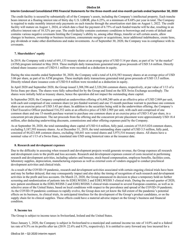## Interim Condensed Consolidated IFRS Financial Statements for the three-month and nine-month periods ended September 30, 2020

The credit facility is secured by substantially all of the Company's assets, including the Company's intellectual property. Each tranche bears interest at a floating interest rate of thirty day U.S. LIBOR, plus 6.25%, or a minimum of 8.68% per year in total. The Company is required to make monthly interest-only payments on each tranche through the amortization start date on August 1, 2022. The credit facility will mature on August 1, 2024, at which date a final fee payment of 6.75% of each funded tranche will be due, resulting in an effective interest rate of 10.32% per year. The credit facility contains customary conditions to borrowings and events of default and contains various negative covenants limiting the Company's ability to, among other things, transfer or sell certain assets, allow changes in business, ownership or business locations, consummate mergers or acquisitions, incur additional indebtedness, create liens, pay dividends or make other distributions and make investments. As of September 30, 2020, the Company was in compliance with its covenants.

#### **7. Shareholders' equity**

In 2019, the Company sold a total of 691,133 treasury shares at an average price of USD 5.14 per share, as part of its "at the market" (ATM) program initiated in May 2018. These multiple daily transactions generated total gross proceeds of USD 3.6 million. Directly related share issuance costs of USD 0.1 million were recorded as a deduction in equity.

During the nine-months ended September 30, 2020, the Company sold a total of 4,416,583 treasury shares at an average price of USD 3.06 per share, as part of its ATM program. These multiple daily transactions generated total gross proceeds of USD 13.5 million. Directly related share issuance costs of USD 0.4 million were recorded as a deduction in equity.

In April 2020 and September 2020, the Group issued 3,308,396 and 2,320,266 common shares, respectively, at par value of 1/13 of a Swiss franc per share. The shares were fully subscribed for by the Group and listed on the SIX Swiss Exchange accordingly. The shares were initially held as treasury shares, hence the operation did not impact the outstanding share capital.

In September 2020, the Company completed an underwritten offering of 6,448,240 units at an effective price of USD 2.869 per unit, with each unit comprised of one common share (or pre-funded warrant) and one 15-month purchase warrant to purchase one common share at an exercise price of USD 3.43 per share. In addition to the securities being sold in the underwritten offering, the Company's Chief Executive Officer purchased 516,352 units at an effective price of USD 2.905 per unit, with each unit comprised of one common share and one 15-month purchase warrant to purchase one common share at an exercise price of USD 3.43 per share, in a concurrent private placement. The net proceeds from the offering and the concurrent private placement were approximately USD 18.4 million, after deducting underwriting discounts, commissions and other offering expenses paid by the Company.

As at September 30, 2020, the total outstanding share capital of USD 4.4 million, fully paid, consists of 55,015,024 common shares, excluding 5,187,595 treasury shares. As at December 31, 2019, the total outstanding share capital of USD 3.5 million, fully paid, consisted of 44,423,448 common shares, excluding 168,641 non-vested shares and 3,975,516 treasury shares. All shares have a nominal value of 1/13 of a Swiss franc, translated into USD using historical rates at the issuance date.

#### **8. Research and development expenses**

Due to the difficulty in assessing when research and development projects would generate revenue, the Group expenses all research and development costs to the profit and loss accounts. Research and development expenses consist of costs incurred in performing research and development activities, including salaries and bonuses, stock-based compensation, employee benefits, facilities costs, laboratory supplies, depreciation, manufacturing expenses as well as external costs of vendors engaged to conduct preclinical development activities and clinical trials.

As a result of the COVID-19 pandemic, research and development activities associated with certain ongoing clinical trials have been and may be further delayed, that may consequently impact and also delay the timing of recognition of such research and development activities in the profit and loss accounts. On March 23, 2020, the Group announced its decision to place a temporary hold on further screening and randomization of patients into its EDELWEISS 2 and EDELWEISS 3 clinical trials. During the second quarter of 2020, new patient enrollment in the EDELWEISS 2 and EDELWEISS 3 clinical trials resumed in several European countries, as well as in selective areas of the United States, based on local conditions with respect to the prevalence and spread of the COVID-19 pandemic. As the COVID-19 pandemic continues to rapidly evolve, the Group does not yet know the full extent of the pandemic's potential effects on its business, its clinical trials, its anticipated timelines for the development of the Group's product candidates, or on the supply chain for its clinical supplies. These effects could have a material adverse impact on the Group's business and financial condition.

#### **9. Income tax**

The Group is subject to income taxes in Switzerland, Ireland and the United States.

Since January 1, 2020, the Company is subject in Switzerland to a municipal and cantonal income tax rate of 14.0% and to a federal tax rate of 8.5% on its profits after tax (2019: 22.6% and 8.5%, respectively). It is entitled to carry forward any loss incurred for a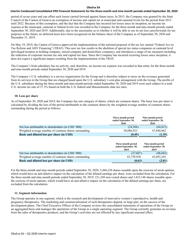# Interim Condensed Consolidated IFRS Financial Statements for the three-month and nine-month periods ended September 30, 2020

period of seven years and can offset such losses carried forward against future taxes. In 2015, the Company was granted by the State Council of the Canton of Geneva an exemption of income and capital tax at municipal and cantonal levels for the period from 2013 until 2022. Because of this exemption, and the fact that the Company has incurred net losses since its inception, no income tax expense at the municipal, cantonal or federal levels was recorded in the Company for the three-month and nine-month periods ended September 30, 2020 and 2019. Additionally, due to the uncertainty as to whether it will be able to use its net loss carryforwards for tax purposes in the future, no deferred taxes have been recognized on the balance sheet of the Company as of September 30, 2020 and December 31, 2019.

On May 19, 2019, the Canton of Geneva approved the implementation of the national proposal of the tax law named "Federal Act on Tax Reform and AHV Financing" (TRAF). This new tax law results in the abolition of special tax status companies at cantonal level (privileged taxation as holding company, mixed company and domiciliary company), and introduces a range of tax measures including the reduction of corporate income tax rate and capital tax base. Since the Company has incurred recurring losses since inception, it does not expect a significant impact resulting from the implementation of the TRAF.

The Company's Irish subsidiary has no activity, and, therefore, no income tax expense was recorded in that entity for the three-month and nine-month periods ended September 30, 2020 and 2019.

The Company's U.S. subsidiary is a service organization for the Group and is therefore subject to taxes on the revenues generated from its services to the Group that are charged based upon the U.S. subsidiary's cost-plus arrangement with the Group. The profits of the U.S. subsidiary during the three-month and nine-month periods ended September 30, 2020 and 2019 were each subject to a total U.S. income tax rate of 27.3% based on both the U.S. federal and Massachusetts state tax rates.

# **10. Loss per share**

As of September 30, 2020 and 2019, the Company has one category of shares, which are common shares. The basic loss per share is calculated by dividing the loss of the period attributable to the common shares by the weighted average number of common shares outstanding during the period as follows:

|                                                      | Three-month period<br>ended September 30,<br>2020 | Nine-month period<br>ended September 30,<br>2020 |
|------------------------------------------------------|---------------------------------------------------|--------------------------------------------------|
| Net loss attributable to shareholders (in USD '000)  | (24, 384)                                         | (64, 415)                                        |
| Weighted average number of common shares outstanding | 50,086,923                                        | 47,848,862                                       |
| <b>Basic and diluted loss per share (in USD)</b>     | (0.49)                                            | (1.35)                                           |

|                                                      | Three-month period<br>ended September 30,<br>2019 | Nine-month period<br>ended September 30,<br>2019 |
|------------------------------------------------------|---------------------------------------------------|--------------------------------------------------|
| Net loss attributable to shareholders (in USD '000)  | (27,607)                                          | (88,042)                                         |
| Weighted average number of common shares outstanding | 43,739,938                                        | 43,693,245                                       |
| Basic and diluted loss per share (in USD)            | (0.63)                                            | (2.01)                                           |

For the three-month and nine-month periods ended September 30, 2020, 5,446,230 shares issuable upon the exercise of stock-options, which would have an anti-dilutive impact on the calculation of the diluted earnings per share, were excluded from the calculation. For the three-month and nine-month periods ended September 30, 2019, 221,249 non-vested shares and 3,433,148 shares issuable upon the exercise of stock-options, which would have an anti-dilutive impact on the calculation of the diluted earnings per share, are excluded from the calculation.

# **11. Segment information**

The Group operates in one segment, which is the research and development of innovative women's reproductive, health and pregnancy therapeutics. The marketing and commercialization of such therapeutics depend, in large part, on the success of the development phase. The Chief Executive Officer of the Company reviews the consolidated statements of operations of the Group on an aggregated basis and manages the operations of the Group as a single operating segment. The Group currently generates no revenue from the sales of therapeutics products, and the Group's activities are not affected by any significant seasonal effect.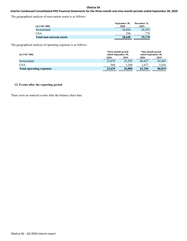# Interim Condensed Consolidated IFRS Financial Statements for the three-month and nine-month periods ended September 30, 2020

The geographical analysis of non-current assets is as follows:

| $(in$ USD $(000)$               | September 30,<br>2020 | December 31,<br>2019 |
|---------------------------------|-----------------------|----------------------|
| Switzerland                     | 28,044                | 28.391               |
| <b>USA</b>                      | 596                   | 779                  |
| <b>Total non-current assets</b> | 28,640                | 29,170               |

The geographical analysis of operating expenses is as follows:

| $(in$ USD '000)                 | Three-month period<br>ended September 30, |        | Nine-month period<br>ended September 30, |        |  |
|---------------------------------|-------------------------------------------|--------|------------------------------------------|--------|--|
|                                 | 2020                                      | 2019   | 2020                                     | 2019   |  |
| Switzerland                     | 23,070                                    | 25,592 | 60,427                                   | 83,403 |  |
| USA                             | 569                                       | .208   | 677                                      | 3.416  |  |
| <b>Total operating expenses</b> | 23,639                                    | 26,800 | 62.104                                   | 86,819 |  |

# **12. Events after the reporting period**

There were no material events after the balance sheet date.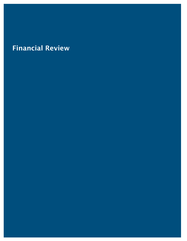# Financial Review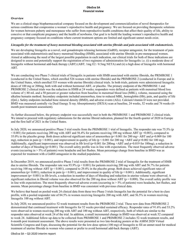# **Overview**

We are a clinical-stage biopharmaceutical company focused on the development and commercialization of novel therapeutics for serious conditions that compromise a woman's reproductive health and pregnancy. We are focused on providing therapeutic solutions for women between puberty and menopause who suffer from reproductive health conditions that affect their quality of life, ability to conceive or that complicate pregnancy and the health of newborns. Our goal is to build the leading women's reproductive health and pregnancy company focused on conditions where current treatment options are limited and significant unmet needs exist.

# *Linzagolix for the treatment of heavy menstrual bleeding associated with uterine fibroids and pain associated with endometriosis.*

We are developing linzagolix as a novel, oral gonadotropin releasing hormone (GnRH), receptor antagonist, for the treatment of pain associated with endometriosis and heavy menstrual bleeding (HMB), associated with uterine fibroids in pre-menopausal women. Aimed at addressing the need of the largest possible population in each indication, our clinical trials for both of these indications are designed to assess and potentially support the registration of two regimens of administration for linzagolix i.e. (i) a moderate dose of linzagolix without hormonal add-back therapy (ABT) (ABT; 1mg E2 / 0.5mg NETA) and (ii) a high dose of linzagolix with hormonal ABT.

We are conducting two Phase 3 clinical trials of linzagolix in patients with HMB associated with uterine fibroids, the PRIMROSE 1 (conducted in the United States, which enrolled 526 women with uterine fibroids) and the PRIMROSE 2 (conducted in Europe and in the United States, which enrolled 535 women with uterine fibroids) clinical trials. In both trials, patients were administered linzagolix doses of 100 mg or 200mg, both with and without hormonal ABT, or placebo. The primary endpoint of the PRIMROSE 1 and PRIMROSE 2 clinical trials was the reduction in HMB at 24 weeks; responders were defined as patients with menstrual blood loss volume of ≤ 80 mL and a 50 percent or greater reduction from baseline in menstrual blood loss (MBL), volume, measured using the alkaline hematin method. Secondary endpoints included amenorrhea, time to reduced MBL, hemoglobin (Hb), pain, and quality of life (QoL). Safety endpoints included bone mineral density (BMD), and adverse events (AEs). Calcium/vitamin D were not provided. BMD was measured centrally via Dual Energy X-ray Absorptiometry (DEXA) scan at baseline, 24 weeks, 52 weeks and 76 weeks (6 month post treatment assessment).

As further discussed below, the primary endpoint was successfully met in both the PRIMROSE 1 and PRIMROSE 2 clinical trials. We intend to proceed with regulatory submissions for the uterine fibroid indication, planned for the fourth quarter of 2020 in Europe and the first half of 2021 in the United States.

In July 2020, we announced positive Phase 3 trial results from the PRIMROSE 1 trial of linzagolix. The responder rate was 75.5% (p  $< 0.001$ ) for patients receiving 200 mg with ABT and 56.4% for patients receiving 100 mg without ABT (p =0.003), compared to 35.0% in the placebo group. Both doses achieved significant rates of amenorrhea ( $p < 0.001$  for 200 mg + ABT and  $p=0.009$  for 100 mg), reduction in pain ( $p < 0.001$ ), and improvement in quality of life ( $p < 0.001$  for 200 mg +ABT and  $p=0.002$  for 100 mg). Additionally, significant improvement was observed in Hb level ( $p<0.001$  for 200mg +ABT and  $p=0.019$  for 100mg), a reduction in number of days of bleeding ( $p \le 0.001$ ). The overall safety profile was in line with expectations. The most frequently observed adverse events (occurring in > 5% of patients) were headache and hot flushes. Mean percentage change from baseline in BMD was as expected for treatment with a GnRH antagonist in the studied population.

In December 2019, we announced positive Phase 3 trial results from the PRIMROSE 2 trial of linzagolix for the treatment of HMB due to uterine fibroids. The responder rate was  $93.9\%$  (p < 0.001) for patients receiving 200 mg with ABT and 56.7% for patients receiving 100 mg without ABT ( $p < 0.001$ ), compared to 29.4% in the placebo group. Both doses achieved significant rates of amenorrhea (p< 0.001), reduction in pain (p < 0.001), and improvement in quality of life (p < 0.001). Additionally, significant improvement (p< 0.001) in Hb levels, a reduction in number of days of bleeding and reduction in uterine volume were observed. A significant reduction in fibroid volume was also observed for the 200 mg dose without ABT ( $p = 0.008$ ). The overall safety profile was in line with expectations. The most frequently observed adverse events (occurring in  $> 5\%$  of patients) were headache, hot flushes, and anemia. Mean percentage change from baseline in BMD was consistent with previous clinical data.

We believe that based on pooled week 24 clinical data from these two Phase 3 trials linzagolix has the potential for a best-in-class profile, with a pooled responder rate of 84.5% in women receiving linzagolix 200 mg with ABT, and 56.5% in women receiving linzagolix 100 mg without ABT.

In July 2020, we announced positive 52-week treatment results from the PRIMROSE 2 trial. These new data from PRIMROSE 2 demonstrated that continued treatment with linzagolix for 52 weeks provided sustained efficacy. Responder rates of 91.6% and 53.2% were observed in women receiving 200 mg with ABT and 100 mg without ABT, respectively, both of which are similar to the responder rates observed at week 24 of the trial. In addition, a small incremental change in BMD was observed at week 52 compared to week 24. Additional follow-up data to be collected from PRIMROSE 1 and PRIMROSE 2 includes 52-week treatment results, and 6-month post treatment assessment. The above results were presented as two late-breaking posters at the ASRM 2020 Virtual Scientific Congress and Expo, discussing the potential for the low-dose option (100 mg) of linzagolix to fill an unmet need for medical treatment of uterine fibroids in women who cannot or prefer to avoid hormonal add-back therapy (ABT).

ObsEva SA – Q3 2020 interim report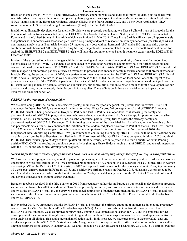Based on the positive PRIMROSE 1 and PRIMROSE 2 primary endpoint results and additional follow-up data, plus feedback from scientific advice meetings with national European regulatory agencies, we expect to submit a Marketing Authorization Application (MAA) submission to the European Medicines Agency (EMA) in the fourth quarter 2020, and a New Drug Application (NDA) submission to the U.S. Food and Drug Administration (FDA) in the first half of 2021.

In addition to linzagolix development for uterine fibroids, we are presently conducting two Phase 3 clinical trials of linzagolix for the treatment of endometriosis associated pain, the EDELWEISS 2 (conducted in the United States) and EDELWEISS 3 (conducted in Europe and in the United States) clinical trials which were initiated in May 2019. These Phase 3 trials will each enroll approximately 450 patients with endometriosis associated pain, with a co-primary endpoint of response on both dysmenorrhea (menstrual pain) and non-menstrual pelvic pain. Both trials include a 75 mg once daily dose without hormonal ABT, and a 200 mg once daily dose in combination with hormonal ABT (1mg E2 / 0.5mg NETA). Subjects who have completed the initial six-month treatment period for each of the EDELWEISS 2 and EDELWEISS 3 trials will have the option to enter a 6-month treatment extension (the EDELWEISS Extension trials).

In view of the expected logistical challenges with initial screening and uncertainty about continuity of treatment for randomized patients because of the COVID-19 pandemic, as announced in March 2020, we placed a temporary hold on further screening and randomization of patients into our EDELWEISS 2 and EDELWEISS 3 clinical trials. EDELWEISS 2 and EDELWEISS 3 clinical trial sites managed all randomized patients already on treatment to proceed with enhanced safety measures and the trial protocol whenever feasible. During the second quarter of 2020, new patient enrollment was resumed for the EDELWEISS 2 and EDELWEISS 3 clinical trials in several European countries, as well as in selective areas of the United States, based on local conditions with respect to the prevalence and spread of the COVID-19 pandemic. As the COVID-19 pandemic continues to rapidly evolve, we do not yet know the full extent of the pandemic's potential effects on our business, our clinical trials, our anticipated timelines for the development of our product candidates, or on the supply chain for our clinical supplies. These effects could have a material adverse impact on our business and financial condition.

# *OBE022 for the treatment of preterm labor*

We are developing OBE022, an oral and selective prostaglandin F2α receptor antagonist, for preterm labor in weeks 24 to 34 of pregnancy. In December 2017, we announced the initiation of our Phase 2a proof-of-concept clinical trial of OBE022 known as PROLONG which is being conducted in two parts: Part A and Part B. Part A is an open-label trial assessing the safety and pharmacokinetics of OBE022 in pregnant women, who were already receiving standard of care therapy for preterm labor, atosiban infusion. Part B, is a randomized, double-blind, placebo-controlled, parallel-group trial to assess the efficacy, safety and pharmacokinetics of OBE022. In December 2018, following completion of the open-label Part A and based on the favorable safety and pharmacokinetics results, we announced the initiation of the randomized placebo-controlled Part B of the trial. Part B will enroll up to 120 women at 24-34 weeks gestation who are experiencing preterm labor symptoms. In the first quarter of 2020, the Independent Data Monitoring Committee (IDMC) recommended continuing the ongoing PROLONG trial with no modifications based on safety data from the first 90 patients enrolled in Part B. Enrollment of PROLONG Part B was completed in March 2020 and final PROLONG trial results (up to 28 days follow-up after all infant deliveries) are anticipated in the fourth quarter of 2020. Pending positive PROLONG trial results, we anticipate potentially beginning a Phase 2b dose ranging trial of OBE022, and to seek interaction with the FDA on the US clinical development program.

# *Nolasiban for the improvement of pregnancy and birth rates in women undergoing embryo transfer following in-vitro fertilization.*

We have been developing nolasiban, an oral oxytocin receptor antagonist, to improve clinical pregnancy and live birth rates in women undergoing in-vitro fertilization, or IVF. We completed randomization of 778 patients in our European Phase 3 clinical trial in women undergoing IVF, or the IMPLANT 2 clinical trial, in 2017 and reported positive results for the primary endpoint of ongoing pregnancy 10 weeks post embryo transfer in February 2018, and positive live birth rate results in October 2018. Nolasiban was observed to be well tolerated with a safety profile not different from placebo. 28-day neonatal safety data from the IMPLANT 2 trial did not reveal any adverse consequences from nolasiban treatment.

Based on feedback received in the third quarter of 2018 from regulatory authorities in Europe on our nolasiban development program, we initiated in November 2018 an additional Phase 3 trial primarily in Europe, with some additional sites in Canada and Russia, also known as the IMPLANT 4 trial. In June 2019, we announced completion of patient recruitment in the IMPLANT 4 trial. In addition, we announced the clearance of our investigational new drug (IND) in October 2019 for the U.S. Phase 3 clinical trial of nolasiban, known as IMPLANT 3.

In November 2019, we announced that the IMPLANT 4 trial did not meet the primary endpoint of an increase in ongoing pregnancy rate at 10 weeks,  $(39.1\%$  placebo vs 40.5 % nolasiban) (p = 0.745). As these results did not confirm the prior positive Phase 3 IMPLANT 2 trial findings, we discontinued our previously ongoing development of nolasiban for IVF, and are exploring further development of the compound through assessment of higher dose levels and longer exposure to nolasiban based upon results from a meta-analysis of all clinical trials and a mechanism of action study. In this respect, we have presented, in October 2020, data and results as a poster at the ASRM 2020 Virtual Scientific Congress and Expo, supporting the further evaluation of higher doses and/or alternate regimens of nolasiban. In January 2020, we and Hangzhou YuYuan BioScience Technology Co., Ltd. (YuYuan) entered into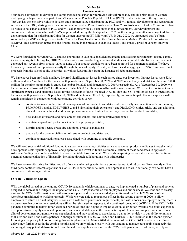a sublicense agreement to develop and commercialize nolasiban for improving clinical pregnancy and live birth rates in women undergoing embryo transfer as part of an IVF cycle in the People's Republic of China (PRC). Under the terms of the agreement, YuYuan has the exclusive rights to develop and commercialize nolasiban in the PRC, and will fund all development and registration activities in the PRC, starting with the commitment to conduct Phase 1 trials and a Phase 2 proof-of-concept trial in China. We retain all rights to nolasiban outside of PRC, and will collaborate with YuYuan on its global development. Our development and commercialization partnership with YuYuan proceeded during the first quarter of 2020 with steering committee meetings to define the development plan for nolasiban in China for women undergoing ET following IVF. In July 2020, we announced that YuYuan submitted a pre-IND meeting request to the Center for Drug Evaluation at the Chinese National Medical Products Administration (NMPA). This submission represents the first milestone in the process to enable a Phase 1 and Phase 2 proof of concept study in China.

We were founded in November 2012 and our operations to date have included organizing and staffing our company, raising capital, in-licensing rights to linzagolix, OBE022 and nolasiban and conducting nonclinical studies and clinical trials. To date, we have not generated any revenue from product sales as none of our product candidates have been approved for commercialization. We have historically financed our operations mostly through the sale of equity. To date, we have raised an aggregate of \$365.7 million of net proceeds from the sale of equity securities, as well as \$25.0 million from the issuance of debt instruments.

We have never been profitable and have incurred significant net losses in each period since our inception. Our net losses were \$24.4 million, and \$27.6 million for the three-month periods ended September 30, 2020 and 2019, respectively, and \$64.4 million and \$88.0 million for the nine-month periods ended September 30, 2020 and September 30, 2019, respectively. As of September 30, 2020, we had accumulated losses of \$392.4 million, out of which \$30.6 million were offset with share premium. We expect to continue to incur significant expenses and operating losses for the foreseeable future. We used \$48.7 million and \$67.4 million of cash in operations in the nine-month periods ended September 30, 2020 and September 30, 2019, respectively, and we anticipate that our expenses will remain significant in connection with our ongoing activities as we:

- continue to invest in the clinical development of our product candidates and specifically in connection with our ongoing PRIMROSE 1 and 2, EDELWEISS 2 and 3 (including their extensions), and PROLONG clinical trials, and any additional clinical trials, nonclinical studies and pre-commercial activities that we may conduct for product candidates;
- hire additional research and development and general and administrative personnel;
- maintain, expand and protect our intellectual property portfolio;
- identify and in-license or acquire additional product candidates;
- prepare for the commercialization of certain product candidates, and
- continue to incur additional costs associated with operating as a public company.

We will need substantial additional funding to support our operating activities as we advance our product candidates through clinical development, seek regulatory approval and prepare for and invest in future commercialization of these candidates, if approved. Adequate funding may not be available to us on acceptable terms, or at all. We are also exploring various alternatives for the future potential commercialization of linzagolix, including through collaborations with third parties.

We have no manufacturing facilities, and all of our manufacturing activities are contracted out to third parties. We currently utilize third-party contract research organizations, or CROs, to carry out our clinical development and trials. Additionally, we do not have a commercialization organization.

# **COVID-19 Business Update**

With the global spread of the ongoing COVID-19 pandemic which continues to date, we implemented a number of plans and policies designed to address and mitigate the impact of the COVID-19 pandemic on our employees and our business. We continue to closely monitor the COVID-19 situation and will evolve our plans and policies as needed going forward. In March 2020, some of our workforce transitioned to working remotely. While we were able to reopen our offices in the second quarter of 2020 to allow employees to return on a voluntary basis, consistent with local government requirements, and with a focus on employee safety, there is no guarantee that prior or new restrictions will not be reinstated in response to the continued spread of COVID-19. If the COVID-19 pandemic continues to persist for an extended period of time and begins to impact essential distribution systems, we could experience disruptions to our supply chain and operations, and associated delays in the manufacturing of clinical trial supply. For some of our clinical development programs, we are experiencing, and may continue to experience, a disruption or delay in our ability to initiate trial sites and enroll and assess patients. Although enrollment in EDELWEISS 2 and EDELWEISS 3 resumed in the second quarter following a temporary hold on screening that we implemented in March 2020 at the onset of the COVID-19 pandemic, enrollment delays may further occur in the coming months, and we are working closely with our vendors to manage our supply chain activities and mitigate any potential disruptions to our clinical trial supplies as a result of the COVID-19 pandemic. In addition, we rely on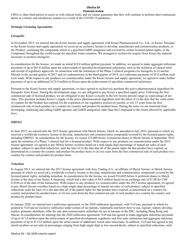CROs or other third parties to assist us with clinical trials, and we cannot guarantee that they will continue to perform their contractual duties in a timely and satisfactory manner as a result of the COVID-19 pandemic.

# **Strategic Licensing Agreements**

# *Linzagolix*

In November 2015, we entered into the Kissei license and supply agreement with Kissei Pharmaceutical Co., Ltd., or Kissei. Pursuant to the Kissei license and supply agreement we received an exclusive license to develop, manufacture and commercialize products, or the Product, containing the compounds which is a specified GnRH antagonist and covered by certain licensed patent rights, or the Compound, throughout the world except for specified Asian countries. We arranged to exclusively acquire from Kissei the material necessary to produce linzagolix.

In consideration for the license, we made an initial \$10.0 million upfront payment. In addition, we agreed to make aggregate milestone payments of up to \$63.0 million upon the achievement of specified developmental milestones, such as the initiation of clinical trials and receipt of regulatory approvals. In connection with the initiations of the Phase 3 clinical programs for linzagolix in (i) uterine fibroids in the second quarter of 2017 and (ii) endometriosis in the third quarter of 2019, two milestone payments of \$5.0 million each were made. With respect to any products we commercialize under the Kissei license and supply agreement, we agreed to make further payments of up to an additional \$125.0 million to Kissei upon the achievement of specified commercial milestones.

Pursuant to the Kissei license and supply agreement, we have agreed to exclusively purchase the active pharmaceutical ingredient for linzagolix from Kissei. During the development stage, we are obligated to pay Kissei a specified supply price. Following the first commercial sale of licensed product, we are obligated to pay Kissei a royalty in the low twenty percent range as a percentage of net sales. This payment includes Kissei's supply of the active pharmaceutical ingredient until the latest of (i) the date that the valid claim of a patent for the Product has expired, (ii) the expiration of our regulatory exclusivity period, or (iii) 15 years from the first commercial sale of such product on a country-by-country and product-by-product basis. During the term, we are restricted from developing, marketing and selling GnRH agonists and GnRH antagonists other than the Compound to the extent allowed by applicable laws.

# *OBE022*

In June 2015, we entered into the 2015 license agreement with Merck Serono, which we amended in July 2016, pursuant to which we received a worldwide exclusive license to develop, manufacture and commercialize compounds covered by the licensed patent rights, including OBE022. In consideration for the license, we issued 325,000 Series A preferred shares to Merck Serono in September 2016 upon the initiation of a Phase 1 clinical trial for a licensed product. With respect to any products we commercialize under the 2015 license agreement, we agreed to pay Merck Serono royalties based on a mid-single-digit percentage of annual net sales of each product, subject to specified reductions, until the later of (i) the date that all of the patent rights for that product have expired, as determined on a country-by-country and product-by-product basis or (ii) ten years from the first commercial sale of such product on a country-by-country and product-by-product basis.

# *Nolasiban*

In August 2013, we entered into the 2013 license agreement with Ares Trading S.A., an affiliate of Merck Serono, or Merck Serono, pursuant to which we received a worldwide exclusive license to develop, manufacture and commercialize compounds covered by the licensed patent rights, including nolasiban. In consideration for the license, we issued 914,069 Series A preferred shares to Merck Serono at the time of our Series A financing, which had a fair-value of \$4.9 million based on an exchange rate of \$1.00 for CHF 0.9244 as of the date of the transaction. With respect to any products we commercialize under the 2013 license agreement, we agreed to pay Merck Serono royalties based on a high-single-digit percentage of annual net sales of each product, subject to specified reductions, until the later of (i) the date that all of the patent rights for that product have expired, as determined on a country-bycountry and product-by-product basis, or (ii) ten years from the first commercial sale of such product on a country-by-country and product-by-product basis.

In January 2020, we entered into a sublicense agreement, or the 2020 sublicense agreement, with YuYuan, pursuant to which we granted to YuYuan an exclusive sublicense under certain of our patents, trademarks and know-how to use, register, import, develop, market, promote, distribute, offer for sale and commercialize nolasiban for use in humans in the PRC, including Hong Kong and Macau. In consideration for entering into the 2020 sublicense agreement, YuYuan has agreed to make aggregate milestone payments of up to \$17.0 million upon the achievement of specified development, regulatory and first sales milestones and aggregate milestone payments of up to \$115.0 million upon the achievement of additional, tiered sales milestones. In addition, YuYuan has agreed to pay tiered royalties on net sales at percentages ranging from high-single digit to low-second decile, subject to specified reductions, until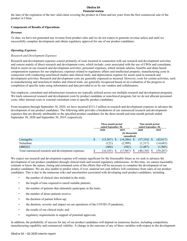the later of the expiration of the last valid claim covering the product in China and ten years from the first commercial sale of the product in China.

# **Components of Results of Operations**

# *Revenue*

To date, we have not generated any revenue from product sales and we do not expect to generate revenue unless and until we successfully complete development and obtain regulatory approval for one of our product candidates.

# *Operating Expenses*

# *Research and Development Expenses*

Research and development expenses consist primarily of costs incurred in connection with our research and development activities and consist mainly of direct research and development costs, which include: costs associated with the use of CROs and consultants hired to assist on our research and development activities; personnel expenses, which include salaries, benefits and share-based compensation expenses for our employees; expenses related to regulatory affairs and intellectual property; manufacturing costs in connection with conducting nonclinical studies and clinical trials; and depreciation expense for assets used in research and development activities. Research and development costs are generally expensed as incurred. However, costs for certain activities, such as manufacturing and nonclinical studies and clinical trials, are generally recognized based on an evaluation of the progress to completion of specific tasks using information and data provided to us by our vendors and collaborators.

Our employee, consultant and infrastructure resources are typically utilized across our multiple research and development programs. We track outsourced research and development costs by product candidate or nonclinical program, but we do not allocate personnel costs, other internal costs or external consultant costs to specific product candidates.

From inception through September 30, 2020, we have incurred \$313.3 million in research and development expenses to advance the development of our product candidates. The following table provides a breakdown of our outsourced research and development expenses that are directly attributable to the specified product candidates for the three-month and nine-month periods ended September 30, 2020 and September 30, 2019, respectively.

|                                                    |   | Three-month period<br>ended September 30, |               |      | Nine-month period<br>ended September 30, |      |           |  |
|----------------------------------------------------|---|-------------------------------------------|---------------|------|------------------------------------------|------|-----------|--|
|                                                    |   | 2020<br>2019                              |               | 2020 |                                          | 2019 |           |  |
|                                                    |   | (in thousands)<br>(unaudited)             |               |      |                                          |      |           |  |
| Linzagolix                                         | S | (15,567)                                  | (14, 386)     |      | $(37,334)$ \$                            |      | (42, 617) |  |
| Nolasiban                                          |   | (122)                                     | (2,999)       |      | (1,317)                                  |      | (14,685)  |  |
| <b>OBE022</b>                                      |   | (494)                                     | (582)         |      | (1,487)                                  |      | (1,905)   |  |
| Total outsourced research and development expenses |   | (16, 183)                                 | 1.967<br>. 17 |      | (40,138)                                 |      | (59,207)  |  |

We expect our research and development expense will remain significant for the foreseeable future as we seek to advance the development of our product candidates through clinical trials and toward regulatory submissions. At this time, we cannot reasonably estimate or know the nature, timing and estimated costs of the efforts that will be necessary to complete the development of our product candidates. We are also unable to predict when, if ever, material net cash inflows will commence from sales of our product candidates. This is due to the numerous risks and uncertainties associated with developing such product candidates, including:

- the number of clinical sites included in the trials;
- the length of time required to enroll suitable patients;
- the number of patients that ultimately participate in the trials;
- the number of doses patients receive;
- the duration of patient follow-up;
- the duration, severity and impact on our operations of the COVID-19 pandemic;
- the results of our clinical trials; and
- regulatory requirements in support of potential approvals.

In addition, the probability of success for any of our product candidates will depend on numerous factors, including competition, manufacturing capability and commercial viability. A change in the outcome of any of these variables with respect to the development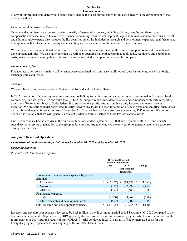of any of our product candidates would significantly change the costs, timing and viability associated with the development of that product candidate.

# *General and Administrative Expenses*

General and administrative expenses consist primarily of personnel expenses, including salaries, benefits and share-based compensation expense, related to executive, finance, accounting, business development, legal and human resource functions. General and administrative expense also includes facility costs not otherwise included in research and development expenses, legal fees related to corporate matters, fees for accounting and consulting services, and costs of director and officer insurance.

We anticipate that our general and administrative expenses will remain significant in the future to support continued research and development activities. We also anticipate that we will keep spending material accounting, audit, legal, regulatory and compliance costs, as well as investor and public relations expenses, associated with operating as a public company.

# *Finance Result, Net*

Finance result, net, consists mainly of interest expense associated with our lease liabilities and debt instruments, as well as foreign exchange gains and losses.

# *Taxation*

We are subject to corporate taxation in Switzerland, Ireland and the United States.

In 2015, the Canton of Geneva granted us a ten-year tax holiday for all income and capital taxes on a communal and cantonal level commencing in fiscal year 2013 and valid through to 2022, subject to our Swiss domiciliation and compliance with certain reporting provisions. We remain subject to Swiss federal income tax on our profits after tax but have only incurred net losses since our inception. We are entitled under Swiss laws to carry forward any losses incurred for a period of seven years and can offset such losses carried forward against future taxes. As of December 31, 2019, we had tax loss carryforwards totaling \$287.6 million. We do not believe it is probable that we will generate sufficient profits to avail ourselves of these tax loss carryforwards.

Our Irish subsidiary had no activity in the nine-month periods ended September 30, 2020 and September 30, 2019, and our US subsidiary, as a service organization to the group under cost plus arrangement, was the only entity to generate income tax expenses during these periods.

# **Analysis of Results of Operations**

# *Comparison of the three-month periods ended September 30, 2020 and September 30, 2019*

# *Operating Expenses*

*Research and Development Expenses*

|                                                           | Three-month period<br>ended September 30, |                                               |  |               |         |
|-----------------------------------------------------------|-------------------------------------------|-----------------------------------------------|--|---------------|---------|
|                                                           |                                           | 2020<br>2019<br>(in thousands)<br>(unaudited) |  | Change        |         |
| Research and development expenses by product<br>candidate |                                           |                                               |  |               |         |
| Linzagolix                                                | \$                                        | $(15,567)$ \$                                 |  | $(14,386)$ \$ | (1,181) |
| Nolasiban                                                 |                                           | (122)                                         |  | (2,999)       | 2,877   |
| OBE022                                                    |                                           | (494)                                         |  | (582)         | 88      |
| Unallocated expenses                                      |                                           |                                               |  |               |         |
| Staff costs                                               |                                           | (3,350)                                       |  | (3,062)       | (288)   |
| Other research and development costs                      |                                           | (592)                                         |  | (907)         | 315     |
| Total research and development expenses                   |                                           | (20, 125)                                     |  | (21, 935)     | 1,810   |

Research and development expenses decreased by \$1.8 million in the three-month period ended September 30, 2020 compared to the three-month period ended September 30, 2019, primarily due to lower costs for our nolasiban program which was discontinued in the fourth quarter of 2019 after the results of our IMPLANT 4 trial conducted in 2019, partially offset by increased costs for our linzagolix program, especially for our ongoing EDELWEISS Phase 3 trials.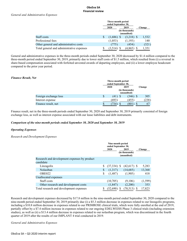|                                           |  | 2020         | 2019                          | Change |
|-------------------------------------------|--|--------------|-------------------------------|--------|
|                                           |  |              | (in thousands)<br>(unaudited) |        |
| Staff costs                               |  | $(1,686)$ \$ | $(3,218)$ \$                  | 1,532  |
| Professional fees                         |  | (1,053)      | (1,193)                       | 140    |
| Other general and administrative costs    |  | T/5          | (454)                         | (321)  |
| Total general and administrative expenses |  | (3.514       | (4,865                        | .351   |

General and administrative expenses in the three-month periods ended September 30, 2020 decreased by \$1.4 million compared to the three-month period ended September 30, 2019, primarily due to lower staff costs of \$1.5 million, which resulted from (i) a reversal in share-based compensation associated with forfeited unvested awards of departing employees, and (ii) a lower employee headcount compared to the prior year period.

# *Finance Result, Net*

|                       | Three-month period<br>ended September 30, |        |                               |         |  |
|-----------------------|-------------------------------------------|--------|-------------------------------|---------|--|
|                       |                                           | 2020   | 2019                          | Change  |  |
|                       |                                           |        | (in thousands)<br>(unaudited) |         |  |
| Foreign exchange loss | \$                                        | (41) S | (346)                         | 305     |  |
| Interest expense      |                                           | (693)  | (455)                         | (238)   |  |
| Finance result, net   | S                                         | 734    | 801<br>S                      | 67<br>Φ |  |

Finance result, net in the three-month periods ended September 30, 2020 and September 30, 2019 primarily consisted of foreign exchange loss, as well as interest expense associated with our lease liabilities and debt instruments.

# *Comparison of the nine-month periods ended September 30, 2020 and September 30, 2019*

# *Operating Expenses*

# *Research and Development Expenses*

|                                              | Nine-month period<br>ended September 30, |               |                                       |          |  |
|----------------------------------------------|------------------------------------------|---------------|---------------------------------------|----------|--|
|                                              |                                          | 2020          | 2019<br>(in thousands)<br>(unaudited) | Change   |  |
| Research and development expenses by product |                                          |               |                                       |          |  |
| candidate                                    |                                          |               |                                       |          |  |
| Linzagolix                                   | \$                                       | $(37,334)$ \$ | $(42,617)$ \$                         | 5,283    |  |
| Nolasiban                                    | \$                                       | (1,317)       | (14,685)                              | 13,368   |  |
| <b>OBE022</b>                                | \$                                       | (1,487)       | (1,905)                               | 418      |  |
| Unallocated expenses                         |                                          |               |                                       |          |  |
| Staff costs                                  |                                          | (10,705)      | (9,106)                               | (1, 599) |  |
| Other research and development costs         |                                          | (1,847)       | (2,200)                               | 353      |  |
| Total research and development expenses      | \$                                       | $(52,690)$ \$ | $(70,513)$ \$                         | 17,823   |  |

Research and development expenses decreased by \$17.8 million in the nine-month period ended September 30, 2020 compared to the nine-month period ended September 30, 2019 primarily due (i) a \$5.3 million decrease in expenses related to our linzagolix programs, including a \$10.8 million decrease in expenses related to our PRIMROSE clinical trials, which were fully enrolled at the end of 2019, partially offset by a \$7.4 million increase in expenses related to our ongoing EDELWEISS Phase 3 clinical trials (including extension studies), as well as (ii) a \$13.4 million decrease in expenses related to our nolasiban program, which was discontinued in the fourth quarter of 2019 after the results of our IMPLANT 4 trial conducted in 2019.

*General and Administrative Expenses*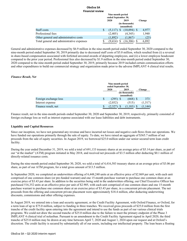|                                           |   | Nine-month period<br>ended September 30, |                               |        |  |
|-------------------------------------------|---|------------------------------------------|-------------------------------|--------|--|
|                                           |   | 2020                                     | 2019                          | Change |  |
|                                           |   |                                          | (in thousands)<br>(unaudited) |        |  |
| Staff costs                               | S | (5,117)                                  | $(10.094)$ \$                 | 4,977  |  |
| Professional fees                         |   | (2,405)                                  | (4,345)                       | 1,940  |  |
| Other general and administrative costs    |   | (1,892)                                  | (1,867)                       | (25)   |  |
| Total general and administrative expenses |   | (9, 414)                                 | (16,306)                      | 6,892  |  |

General and administrative expenses decreased by \$6.9 million in the nine-month period ended September 30, 2020 compared to the nine-month period ended September 30, 2019 primarily due to decreased staff costs of \$5.0 million, which resulted from (i) a reversal in share-based compensation associated with forfeited unvested awards of departing employees, and (ii) a lower employee headcount compared to the prior year period. Professional fees also decreased by \$1.9 million in the nine-month period ended September 30, 2020 compared to the nine-month period ended September 30, 2019, primarily because 2019 included certain communication efforts and other expenditures to build our commercial strategy and organization made prior to the adverse IMPLANT 4 clinical trial results.

# *Finance Result, Net*

|                       |    | Nine-month period<br>ended September 30, |                               |            |  |
|-----------------------|----|------------------------------------------|-------------------------------|------------|--|
|                       |    | 2020                                     | 2019                          | Change     |  |
|                       |    |                                          | (in thousands)<br>(unaudited) |            |  |
| Foreign exchange loss | \$ | (295)                                    | (668) S                       | 373        |  |
| Interest expense      |    | (2,032)                                  | (515)                         | (1,517)    |  |
| Finance result, net   | S  | 2,32,                                    | ,183<br>۰D                    | .1441<br>D |  |

Finance result, net in the nine-month periods ended September 30, 2020 and September 30, 2019, respectively, primarily consisted of foreign exchange loss as well as interest expense associated with our lease liabilities and debt instruments.

#### **Liquidity and Capital Resources**

Since our inception, we have not generated any revenue and have incurred net losses and negative cash flows from our operations. We have funded our operations primarily through the sale of equity. To date, we have raised an aggregate of \$365.7 million of net proceeds from the sale of equity securities. In August 2019, we borrowed \$25.0 million under our senior secured term loan credit facility.

During the year ended December 31, 2019, we sold a total of 691,133 treasury shares at an average price of \$5.14 per share, as part of our "at the market" (ATM) program initiated in May 2018, and received net proceeds of \$3.5 million after deducting \$0.1 million of directly-related issuance costs.

During the nine-month period ended September 30, 2020, we sold a total of 4,416,583 treasury shares at an average price of \$3.06 per share, as part of our ATM program, for a total gross amount of \$13.5 million.

In September 2020, we completed an underwritten offering of 6,448,240 units at an effective price of \$2.869 per unit, with each unit comprised of one common share (or pre-funded warrant) and one 15-month purchase warrant to purchase one common share at an exercise price of \$3.43 per share. In addition to the securities being sold in the underwritten offering, our Chief Executive Officer has purchased 516,352 units at an effective price per unit of \$2.905, with each unit comprised of one common share and one 15-month purchase warrant to purchase one common share at an exercise price of \$3.43 per share, in a concurrent private placement. The net proceeds from the offering and concurrent private placement were approximately \$18.4 million, after deducting underwriting discounts, commissions and other offering expenses.

In August 2019, we entered into a loan and security agreement, or the Credit Facility Agreement, with Oxford Finance, or Oxford, for a term loan of up to \$75.0 million, subject to funding in three tranches. We received gross proceeds of \$25.0 million from the first tranche of the credit facility upon entering into the agreement and intend to use the funds as part of our various clinical trials programs. We could not draw the second tranche of \$25.0 million due to the failure to meet the primary endpoint of the Phase 3 IMPLANT 4 clinical trial of nolasiban. Pursuant to an amendment to the Credit Facility Agreement signed in April 2020, the third tranche of \$25.0 million may be drawn at any time between April 7, 2020 and August 1, 2024 upon our request and at Oxford's discretion. The credit facility is secured by substantially all of our assets, including our intellectual property. The loan bears a floating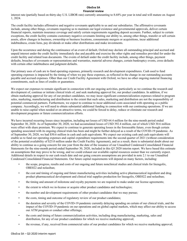interest rate (partially based on thirty-day U.S. LIBOR rate) currently amounting to 8.68% per year in total and will mature on August 1, 2024.

The credit facility includes affirmative and negative covenants applicable to us and our subsidiaries. The affirmative covenants include, among other things, covenants requiring us to maintain our legal existence and governmental approvals, deliver certain financial reports, maintain insurance coverage and satisfy certain requirements regarding deposit accounts. Further, subject to certain exceptions, the credit facility contains customary negative covenants limiting our ability to, among other things, transfer or sell certain assets, allow changes in business, ownership or business locations, consummate mergers or acquisitions, incur additional indebtedness, create liens, pay dividends or make other distributions and make investments.

Upon the occurrence and during the continuance of an event of default, Oxford may declare all outstanding principal and accrued and unpaid interest under the credit facility immediately due and payable and exercise the other rights and remedies provided for under the credit facility and related loan documents. The events of default under the credit facility include, among other things, payment defaults, breaches of covenants or representations and warranties, material adverse changes, certain bankruptcy events, cross defaults with certain other indebtedness and judgment defaults.

Our primary uses of cash are to fund operating expenses, primarily research and development expenditures. Cash used to fund operating expenses is impacted by the timing of when we pay these expenses, as reflected in the change in our outstanding accounts payable and accrued expenses. Other than our Credit Facility Agreement with Oxford, we have no other ongoing material financing commitments, such as lines of credits or guarantees.

We expect our expenses to remain significant in connection with our ongoing activities, particularly as we continue the research and development of, continue or initiate clinical trials of, and seek marketing approval for, our product candidates. In addition, if we obtain marketing approval for any of our product candidates, we may incur significant commercialization expenses related to program sales, marketing, manufacturing and distribution to the extent that such sales, marketing and distribution are not the responsibility of potential commercial partners. Furthermore, we expect to continue to incur additional costs associated with operating as a public company. Accordingly, we will need to obtain substantial additional funding in connection with our continuing operations. If we are unable to raise capital when needed or on attractive terms, we could be forced to delay, reduce or eliminate our research and development programs or future commercialization efforts.

We have incurred recurring losses since inception, including net losses of USD 64.4 million for the nine-month period ended September 30, 2020. As of September 30, 2020, we had accumulated losses of USD 392.4 million, out of which USD 30.6 million were offset with share premium. We expect to continue to generate operating losses in the foreseeable future, even though certain spending associated with its ongoing clinical trials has been and might be further delayed as a result of the COVID-19 pandemic. As of September 30, 2020, we had \$50.6 million in cash and cash equivalents. We expect our existing cash and cash equivalents will enable us to fund our operating expenses and capital expenditure requirements into the second quarter of 2021 (without consideration of the potential availability of \$25.0 million under the Credit Facility Agreement), and as a result, there is substantial doubt about our ability to continue as a going concern for one year from the date of the issuance of our Unaudited Condensed Consolidated Financial Statements for the nine-month period ended September 30, 2020, included in this Q3 2020 interim report. We have based this estimate on assumptions that may prove to be wrong, and we could exhaust our available capital resources sooner than we currently expect. Additional details in respect to our cash reach date and our going concern assumptions are provided in note 2.1 to our Unaudited Condensed Consolidated Financial Statements. Our future capital requirements will depend on many factors, including:

- the scope, progress, results and costs of our ongoing and future nonclinical studies and clinical trials for linzagolix, OBE022 and nolasiban;
- the cost and timing of ongoing and future manufacturing activities including active pharmaceutical ingredient and drug product pharmaceutical development and clinical trial supplies production for linzagolix, OBE022 and nolasiban;
- the timing and amount of milestone and royalty payments we are required to make under our license agreements;
- the extent to which we in-license or acquire other product candidates and technologies;
- the number and development requirements of other product candidates that we may pursue;
- the costs, timing and outcome of regulatory review of our product candidates;
- the duration and severity of the COVID-19 pandemic currently delaying spending on certain of our clinical trials, and the impact of the COVID-19 pandemic on our operations and on global capital markets, which may affect our ability to access our ATM program or conduct other offerings;
- the costs and timing of future commercialization activities, including drug manufacturing, marketing, sales and distribution, for any of our product candidates for which we receive marketing approval;
- the revenue, if any, received from commercial sales of our product candidates for which we receive marketing approval;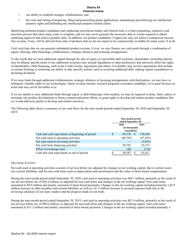- our ability to establish strategic collaborations; and
- the costs and timing of preparing, filing and prosecuting patent applications, maintaining and enforcing our intellectual property rights and defending any intellectual property-related claims.

Identifying potential product candidates and conducting nonclinical studies and clinical trials is a time-consuming, expensive and uncertain process that takes many years to complete, and we may never generate the necessary data or results required to obtain marketing approval and achieve product sales. In addition, our product candidates, if approved, may not achieve commercial success. Our revenue, if any, will be derived from sales of products that we do not expect to be commercially available for many years, if at all.

Until such time that we can generate substantial product revenue, if ever, we may finance our cash needs through a combination of equity offerings, debt financings, collaborations, strategic alliances and licensing arrangements.

To the extent that we raise additional capital through the sale of equity or convertible debt securities, shareholder ownership interest may be diluted, and the terms of any additional securities may include liquidation or other preferences that adversely affect the rights of shareholders. Debt financing, such as the Credit Facility Agreement and others, if available, may involve agreements that include covenants limiting or restricting our ability to take specific actions, such as incurring additional debt, making capital expenditures or declaring dividends.

If we raise funds through additional collaborations, strategic alliances or licensing arrangements with third parties, we may have to relinquish valuable rights to our technologies, future revenue streams, research programs or product candidates, or to grant licenses on terms that may not be favorable to us.

If we are unable to raise additional funds through equity or debt financings when needed, we may be required to delay, limit, reduce or terminate our product development or future commercialization efforts, or grant rights to develop and market product candidates that we would otherwise prefer to develop and market ourselves.

The following table shows a summary of our cash flows for the nine-month periods ended September 30, 2020 and September 30, 2019:

|                                                  |                               | Nine-month period<br>ended September 30, |              |           |  |
|--------------------------------------------------|-------------------------------|------------------------------------------|--------------|-----------|--|
|                                                  |                               | 2020                                     |              | 2019      |  |
|                                                  | (in thousands)<br>(unaudited) |                                          |              |           |  |
| Cash and cash equivalents at beginning of period | S                             | 69,370                                   | <sup>S</sup> | 138,640   |  |
| Net cash used in operating activities            |                               | (48,705)                                 |              | (67, 443) |  |
| Net cash used in investing activities            |                               |                                          |              | (5,034)   |  |
| Net cash from financing activities               |                               | 29.792                                   |              | 25,572    |  |
| Effect of exchange rates                         |                               | 140                                      |              | (718)     |  |
| Cash and cash equivalents at end of period       |                               | 50,597                                   |              | 91,017    |  |

# *Operating Activities*

Net cash used in operating activities consists of net loss before tax adjusted for changes in net working capital, that is current assets less current liabilities, and for non-cash items such as depreciation and amortization and the value of share-based compensation.

During the nine-month period ended September 30, 2020, cash used in operating activities was \$48.7 million, primarily as the result of our net loss before tax of \$64.4 million, as adjusted for non-cash items and changes in the net working capital. Non-cash items amounted to \$8.9 million and mainly consisted of share-based payments. Changes in the net working capital included primarily a \$5.9 million increase in other payables and current liabilities as well as a \$1.5 million increase in accrued expenses both due to the invoicing schedules of our main vendors and the progress made on our trials.

During the nine-month period ended September 30, 2019, cash used in operating activities was \$67.4 million, primarily as the result of our net loss before tax of \$88.0 million, as adjusted for non-cash items and changes in the net working capital. Non-cash items amounted to \$11.3 million and mainly consisted of share-based payments. Changes in the net working capital included primarily a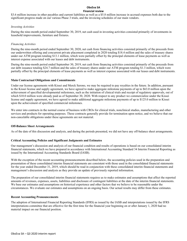\$3.6 million increase in other payables and current liabilities as well as a \$5.8 million increase in accrued expenses both due to the significant progress made on our various Phase 3 trials, and the invoicing schedules of our main vendors.

# *Investing Activities*

During the nine-month period ended September 30, 2019, net cash used in investing activities consisted primarily of investments in leasehold improvements, furniture and fixtures.

# *Financing Activities*

During the nine-month period ended September 30, 2020, net cash from financing activities consisted primarily of the proceeds from our underwritten offering and concurrent private placement completed in 2020 totaling \$18.4 million and the sales of treasury shares under our ATM program totaling \$13.1 million, which were partially offset by the principal elements of lease payments as well as interest expense associated with our leases and debt instruments.

During the nine-month period ended September 30, 2019, net cash from financing activities consisted primarily of the proceeds from our debt issuance totaling \$24.7 million and the sales of treasury shares under our ATM program totaling \$1.3 million, which were partially offset by the principal elements of lease payments as well as interest expense associated with our leases and debt instruments.

# **Main Contractual Obligations and Commitments**

Under our license agreements with Kissei and Merck Serono, we may be required to pay royalties in the future. In addition, pursuant to the Kissei license and supply agreement, we have agreed to make aggregate milestone payments of up to \$63.0 million upon the achievement of specified developmental milestones, such as the initiation of clinical trials and receipt of regulatory approvals, out of which \$10.0 million were already paid as of September 30, 2020. With respect to any product we commercialize under the Kissei license and supply agreement, we have agreed to make additional aggregate milestone payments of up to \$125.0 million to Kissei upon the achievement of specified commercial milestones.

We enter into contracts in the normal course of business with CROs for clinical trials, nonclinical studies, manufacturing and other services and products for operating purposes. These contracts generally provide for termination upon notice, and we believe that our non-cancelable obligations under these agreements are not material.

# **Off-Balance Sheet Arrangements**

As of the date of this discussion and analysis, and during the periods presented, we did not have any off-balance sheet arrangements.

# **Critical Accounting Policies and Significant Judgments and Estimates**

Our management's discussion and analysis of our financial condition and results of operations is based on our consolidated interim financial statements, which we have prepared in accordance with International Accounting Standard 34 Interim Financial Reporting as issued by the International Accounting Standards Board (IASB).

With the exception of the recent accounting pronouncements described below, the accounting policies used in the preparation and presentation of these consolidated interim financial statements are consistent with those used in the consolidated financial statements for the year ended December 31, 2019, which should be read in conjunction with these consolidated interim financial statements and management's discussion and analysis as they provide an update of previously reported information.

The preparation of our consolidated interim financial statements requires us to make estimates and assumptions that affect the reported amounts of revenues, expenses, assets, liabilities and disclosure of contingent liabilities at the date of the interim financial statements. We base our estimates and assumptions on historical experience and other factors that we believe to be reasonable under the circumstances. We evaluate our estimates and assumptions on an ongoing basis. Our actual results may differ from these estimates.

# **Recent Accounting Pronouncements**

The adoption of International Financial Reporting Standards (IFRS) as issued by the IASB and interpretations issued by the IFRS interpretations committee that are effective for the first time for the financial year beginning on or after January 1, 2020 had no material impact on our financial position.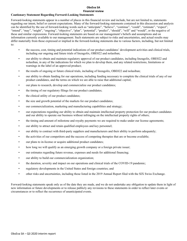# **Cautionary Statement Regarding Forward-Looking Statements**

Forward-looking statements appear in a number of places in this financial review and include, but are not limited to, statements regarding our intent, belief or current expectations. Many of the forward-looking statements contained in this discussion and analysis can be identified by the use of forward-looking words such as "anticipate", "believe", "continue", "could", "estimate", "expect", "intend", "may", "might", "ongoing", "objective", "plan", "potential", "predict", "should", "will" and "would", or the negative of these and similar expressions. Forward-looking statements are based on our management's beliefs and assumptions and on information currently available to our management. Such statements are subject to risks and uncertainties, and actual results may differ materially from those expressed or implied in the forward-looking statements due to various factors, including, but not limited to:

- the success, cost, timing and potential indications of our product candidates' development activities and clinical trials, including our ongoing and future trials of linzagolix, OBE022 and nolasiban;
- our ability to obtain and maintain regulatory approval of our product candidates, including linzagolix, OBE022 and nolasiban, in any of the indications for which we plan to develop them, and any related restrictions, limitations or warnings in the label of an approved product;
- the results of ongoing or future clinical trials, including of linzagolix, OBE022 and nolasiban;
- our ability to obtain funding for our operations, including funding necessary to complete the clinical trials of any of our product candidates, and the terms on which we are able to raise that additional capital;
- our plans to research, develop and commercialize our product candidates;
- the timing of our regulatory filings for our product candidates;
- the clinical utility of our product candidates;
- the size and growth potential of the markets for our product candidates;
- our commercialization, marketing and manufacturing capabilities and strategy;
- our expectations regarding our ability to obtain and maintain intellectual property protection for our product candidates and our ability to operate our business without infringing on the intellectual property rights of others;
- the timing and amount of milestone and royalty payments we are required to make under our license agreements;
- our ability to attract and retain qualified employees and key personnel;
- our ability to contract with third-party suppliers and manufacturers and their ability to perform adequately;
- the activities of our competitors and the success of competing therapies that are or become available;
- our plans to in-license or acquire additional product candidates;
- how long we will qualify as an emerging growth company or a foreign private issuer;
- our estimates regarding future revenue, expenses and needs for additional financing;
- our ability to build our commercialization organization;
- the duration, severity and impact on our operations and clinical trials of the COVID-19 pandemic;
- regulatory developments in the United States and foreign countries; and
- other risks and uncertainties, including those listed in the 2019 Annual Report filed with the SIX Swiss Exchange.

Forward-looking statements speak only as of the date they are made, and we do not undertake any obligation to update them in light of new information or future developments or to release publicly any revisions to these statements in order to reflect later events or circumstances or to reflect the occurrence of unanticipated events.